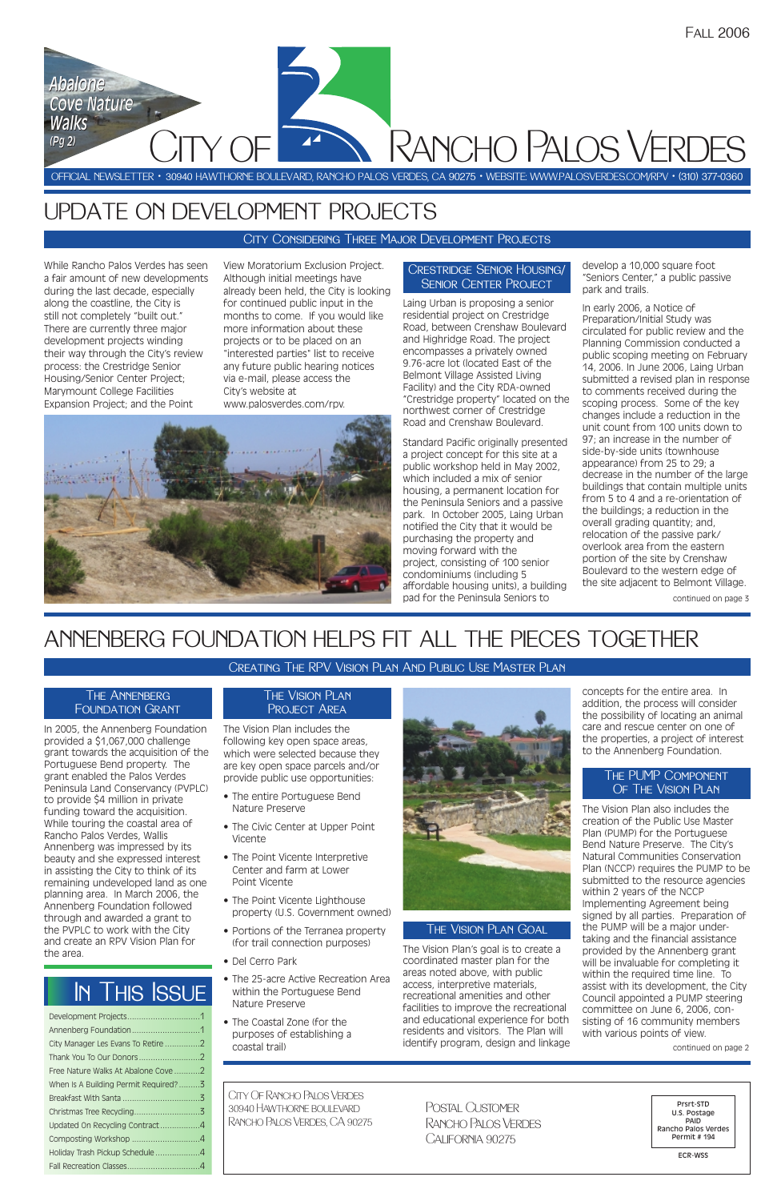# ANNENBERG FOUNDATION HELPS FIT ALL THE PIECES TOGETHER

In 2005, the Annenberg Foundation provided a \$1,067,000 challenge grant towards the acquisition of the Portuguese Bend property. The grant enabled the Palos Verdes Peninsula Land Conservancy (PVPLC) to provide \$4 million in private funding toward the acquisition. While touring the coastal area of Rancho Palos Verdes, Wallis Annenberg was impressed by its beauty and she expressed interest in assisting the City to think of its remaining undeveloped land as one planning area. In March 2006, the Annenberg Foundation followed through and awarded a grant to the PVPLC to work with the City and create an RPV Vision Plan for the area.

The Vision Plan includes the following key open space areas, which were selected because they are key open space parcels and/or provide public use opportunities:

- The entire Portuguese Bend Nature Preserve
- The Civic Center at Upper Point Vicente
- The Point Vicente Interpretive Center and farm at Lower Point Vicente



- The Point Vicente Lighthouse property (U.S. Government owned)
- Portions of the Terranea property (for trail connection purposes)
- Del Cerro Park
- The 25-acre Active Recreation Area within the Portuguese Bend Nature Preserve
- The Coastal Zone (for the purposes of establishing a coastal trail)



The Vision Plan's goal is to create a coordinated master plan for the areas noted above, with public access, interpretive materials, recreational amenities and other facilities to improve the recreational and educational experience for both residents and visitors. The Plan will identify program, design and linkage concepts for the entire area. In addition, the process will consider the possibility of locating an animal care and rescue center on one of the properties, a project of interest to the Annenberg Foundation.

The Vision Plan also includes the creation of the Public Use Master Plan (PUMP) for the Portuguese Bend Nature Preserve. The City's Natural Communities Conservation Plan (NCCP) requires the PUMP to be submitted to the resource agencies within 2 years of the NCCP Implementing Agreement being signed by all parties. Preparation of the PUMP will be a major undertaking and the financial assistance provided by the Annenberg grant will be invaluable for completing it within the required time line. To assist with its development, the City Council appointed a PUMP steering committee on June 6, 2006, consisting of 16 community members with various points of view.

### Creating The RPV Vision Plan And Public Use Master Plan

| Thank You To Our Donors2             |  |
|--------------------------------------|--|
| Free Nature Walks At Abalone Cove 2  |  |
| When Is A Building Permit Required?3 |  |
|                                      |  |
|                                      |  |
| Updated On Recycling Contract4       |  |
| Composting Workshop 4                |  |
| Holiday Trash Pickup Schedule4       |  |
|                                      |  |

### Crestridge Senior Housing/ SENIOR CENTER PROJECT

### THE ANNENBERG Foundation Grant

### The Vision Plan PROJECT AREA

### The PUMP Component OF THE VISION PLAN

# UPDATE ON DEVELOPMENT PROJECTS

CITY OF

City Of Rancho Palos Verdes 30940 Hawthorne boulevardRancho Palos Verdes, CA 90275

OFFICIAL NEWSLETTER • 30940 HAWTHORNE BOULEVARD, RANCHO PALOS VERDES, CA 90275 • WEBSITE: WWW.PALOSVERDES.COM/RPV • (310) 377-0360 Rancho Palos Verdes

> Prsrt-STD U.S. Postage PAID Rancho Palos Verdes Permit # 194

> > ECR-WSS

Postal Customer Rancho Palos Verdes California 90275

# In This Issue

While Rancho Palos Verdes has seen a fair amount of new developments during the last decade, especially along the coastline, the City is still not completely "built out." There are currently three major development projects winding their way through the City's review process: the Crestridge Senior Housing/Senior Center Project; Marymount College Facilities Expansion Project; and the Point

View Moratorium Exclusion Project. Although initial meetings have already been held, the City is looking for continued public input in the months to come. If you would like more information about these projects or to be placed on an "interested parties" list to receive any future public hearing notices via e-mail, please access the City's website at www.palosverdes.com/rpv.



Laing Urban is proposing a senior residential project on Crestridge Road, between Crenshaw Boulevard and Highridge Road. The project encompasses a privately owned 9.76-acre lot (located East of the Belmont Village Assisted Living Facility) and the City RDA-owned "Crestridge property" located on the northwest corner of Crestridge Road and Crenshaw Boulevard.

Standard Pacific originally presented a project concept for this site at a public workshop held in May 2002, which included a mix of senior housing, a permanent location for the Peninsula Seniors and a passive park. In October 2005, Laing Urban notified the City that it would be purchasing the property and moving forward with the project, consisting of 100 senior condominiums (including 5 affordable housing units), a building pad for the Peninsula Seniors to

develop a 10,000 square foot "Seniors Center," a public passive park and trails.

In early 2006, a Notice of Preparation/Initial Study was circulated for public review and the Planning Commission conducted a public scoping meeting on February 14, 2006. In June 2006, Laing Urban submitted a revised plan in response to comments received during the scoping process. Some of the key changes include a reduction in the unit count from 100 units down to 97; an increase in the number of side-by-side units (townhouse appearance) from 25 to 29; a decrease in the number of the large buildings that contain multiple units from 5 to 4 and a re-orientation of the buildings; a reduction in the overall grading quantity; and, relocation of the passive park/ overlook area from the eastern portion of the site by Crenshaw Boulevard to the western edge of the site adjacent to Belmont Village.

continued on page 2

*Abalone*

*Cove Nature*

*Abalone<br>Cove Nature<br>Walks* 

*Walks*

City Considering Three Major Development Projects

*(Pg 2) (Pg 2)*

continued on page 3

### The Vision Plan Goal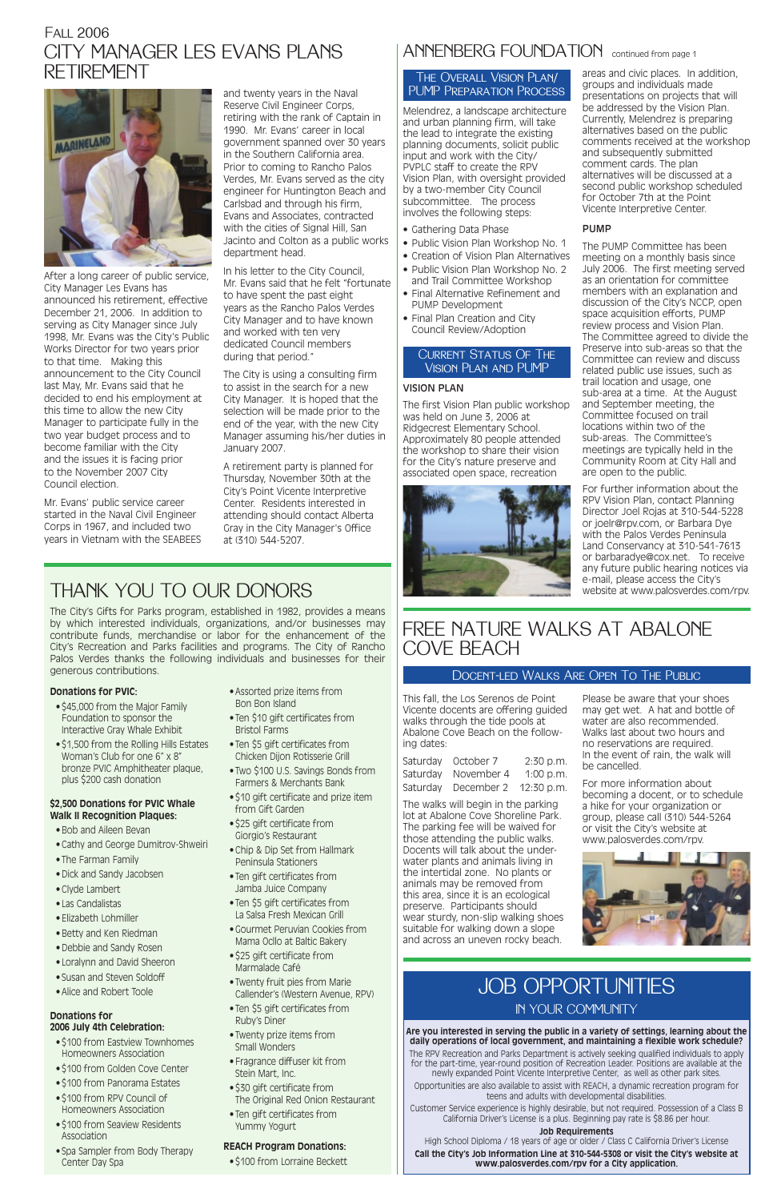After a long career of public service, City Manager Les Evans has announced his retirement, effective December 21, 2006. In addition to serving as City Manager since July 1998, Mr. Evans was the City's Public Works Director for two years prior to that time. Making this announcement to the City Council last May, Mr. Evans said that he decided to end his employment at this time to allow the new City Manager to participate fully in the two year budget process and to become familiar with the City and the issues it is facing prior to the November 2007 City Council election.

Mr. Evans' public service career started in the Naval Civil Engineer Corps in 1967, and included two years in Vietnam with the SEABEES

### CITY MANAGER LES EVANS PLANS RETIREMENTFall 2006



and twenty years in the Naval Reserve Civil Engineer Corps, retiring with the rank of Captain in 1990. Mr. Evans' career in local government spanned over 30 years in the Southern California area. Prior to coming to Rancho Palos Verdes, Mr. Evans served as the city engineer for Huntington Beach and Carlsbad and through his firm, Evans and Associates, contracted with the cities of Signal Hill, San Jacinto and Colton as a public works department head.

In his letter to the City Council, Mr. Evans said that he felt "fortunate to have spent the past eight years as the Rancho Palos Verdes City Manager and to have known and worked with ten very dedicated Council members during that period."

- \$100 from Eastview Townhomes Homeowners Association
- \$100 from Golden Cove Center
- \$100 from Panorama Estates
- \$100 from RPV Council of Homeowners Association
- \$100 from Seaview Residents Association
- Spa Sampler from Body Therapy Center Day Spa

The City is using a consulting firm to assist in the search for a new City Manager. It is hoped that the selection will be made prior to the end of the year, with the new City Manager assuming his/her duties in January 2007.

A retirement party is planned for Thursday, November 30th at the City's Point Vicente Interpretive Center. Residents interested in attending should contact Alberta Gray in the City Manager's Office at (310) 544-5207.

### **Donations for PVIC:**

- \$45,000 from the Major Family Foundation to sponsor the Interactive Gray Whale Exhibit
- \$1,500 from the Rolling Hills Estates Woman's Club for one 6" x 8" bronze PVIC Amphitheater plaque, plus \$200 cash donation

### **\$2,500 Donations for PVIC Whale Walk II Recognition Plaques:**

- Bob and Aileen Bevan
- Cathy and George Dumitrov-Shweiri
- The Farman Family
- Dick and Sandy Jacobsen

- Clyde Lambert
- Las Candalistas
- Elizabeth Lohmiller
- Betty and Ken Riedman
- Debbie and Sandy Rosen
- Loralynn and David Sheeron
- Susan and Steven Soldoff
- Alice and Robert Toole

#### **Donations for 2006 July 4th Celebration:**

- Assorted prize items from Bon Bon Island
- Ten \$10 gift certificates from Bristol Farms
- Ten \$5 gift certificates from Chicken Dijon Rotisserie Grill
- Two \$100 U.S. Savings Bonds from Farmers & Merchants Bank
- \$10 gift certificate and prize item from Gift Garden
- \$25 gift certificate from Giorgio's Restaurant
- Chip & Dip Set from Hallmark Peninsula Stationers
- Ten gift certificates from

### ANNENBERG FOUNDATION continued from page 1

- Jamba Juice Company
- Ten \$5 gift certificates from La Salsa Fresh Mexican Grill
- Gourmet Peruvian Cookies from Mama Ocllo at Baltic Bakery
- \$25 gift certificate from Marmalade Café
- Twenty fruit pies from Marie Callender's (Western Avenue, RPV)
- Ten \$5 gift certificates from Ruby's Diner
- Twenty prize items from Small Wonders
- Fragrance diffuser kit from Stein Mart, Inc.
- \$30 gift certificate from The Original Red Onion Restaurant
- Ten gift certificates from Yummy Yogurt

### **REACH Program Donations:**

• \$100 from Lorraine Beckett

# THANK YOU TO OUR DONORS

The City's Gifts for Parks program, established in 1982, provides a means by which interested individuals, organizations, and/or businesses may contribute funds, merchandise or labor for the enhancement of the City's Recreation and Parks facilities and programs. The City of Rancho Palos Verdes thanks the following individuals and businesses for their generous contributions.

> This fall, the Los Serenos de Point Vicente docents are offering guided walks through the tide pools at Abalone Cove Beach on the following dates:

|          | Saturday October 7    | 2:30 p.m.   |
|----------|-----------------------|-------------|
| Saturday | November 4            | $1:00$ p.m. |
| Saturday | December 2 12:30 p.m. |             |

The walks will begin in the parking lot at Abalone Cove Shoreline Park. The parking fee will be waived for those attending the public walks. Docents will talk about the underwater plants and animals living in the intertidal zone. No plants or animals may be removed from this area, since it is an ecological preserve. Participants should wear sturdy, non-slip walking shoes suitable for walking down a slope and across an uneven rocky beach.

Please be aware that your shoes may get wet. A hat and bottle of water are also recommended. Walks last about two hours and no reservations are required. In the event of rain, the walk will be cancelled.

For more information about becoming a docent, or to schedule a hike for your organization or group, please call (310) 544-5264 or visit the City's website at www.palosverdes.com/rpv.



### FREE NATURE WALKS AT ABALONE COVE BEACH

### JOB OPPORTUNITIES IN YOUR COMMUNITY

#### **Are you interested in serving the public in a variety of settings, learning about the daily operations of local government, and maintaining a flexible work schedule?**

The RPV Recreation and Parks Department is actively seeking qualified individuals to apply for the part-time, year-round position of Recreation Leader. Positions are available at the newly expanded Point Vicente Interpretive Center, as well as other park sites.

Opportunities are also available to assist with REACH, a dynamic recreation program for teens and adults with developmental disabilities.

Customer Service experience is highly desirable, but not required. Possession of a Class B California Driver's License is a plus. Beginning pay rate is \$8.86 per hour.

### **Job Requirements**

High School Diploma / 18 years of age or older / Class C California Driver's License

**Call the City's Job Information Line at 310-544-5308 or visit the City's website at www.palosverdes.com/rpv for a City application.**

### Docent-led Walks Are Open To The Public

Melendrez, a landscape architecture and urban planning firm, will take the lead to integrate the existing planning documents, solicit public input and work with the City/ PVPLC staff to create the RPV Vision Plan, with oversight provided by a two-member City Council subcommittee. The process involves the following steps:

- Gathering Data Phase
- Public Vision Plan Workshop No. 1
- Creation of Vision Plan Alternatives
- Public Vision Plan Workshop No. 2 and Trail Committee Workshop
- Final Alternative Refinement and PUMP Development
- Final Plan Creation and City Council Review/Adoption

#### VISION PLAN

The first Vision Plan public workshop was held on June 3, 2006 at Ridgecrest Elementary School. Approximately 80 people attended the workshop to share their vision for the City's nature preserve and associated open space, recreation



#### areas and civic places. In addition, groups and individuals made presentations on projects that will be addressed by the Vision Plan. Currently, Melendrez is preparing alternatives based on the public comments received at the workshop and subsequently submitted comment cards. The plan alternatives will be discussed at a second public workshop scheduled for October 7th at the Point Vicente Interpretive Center.

### PUMP

The PUMP Committee has been meeting on a monthly basis since July 2006. The first meeting served as an orientation for committee members with an explanation and discussion of the City's NCCP, open space acquisition efforts, PUMP review process and Vision Plan. The Committee agreed to divide the Preserve into sub-areas so that the Committee can review and discuss related public use issues, such as trail location and usage, one sub-area at a time. At the August and September meeting, the Committee focused on trail locations within two of the sub-areas. The Committee's meetings are typically held in the Community Room at City Hall and are open to the public.

For further information about the RPV Vision Plan, contact Planning Director Joel Rojas at 310-544-5228 or joelr@rpv.com, or Barbara Dye with the Palos Verdes Peninsula Land Conservancy at 310-541-7613 or barbaradye@cox.net. To receive any future public hearing notices via e-mail, please access the City's website at www.palosverdes.com/rpv.

### The Overall Vision Plan/ PUMP Preparation Process

### Current Status Of The Vision Plan and PUMP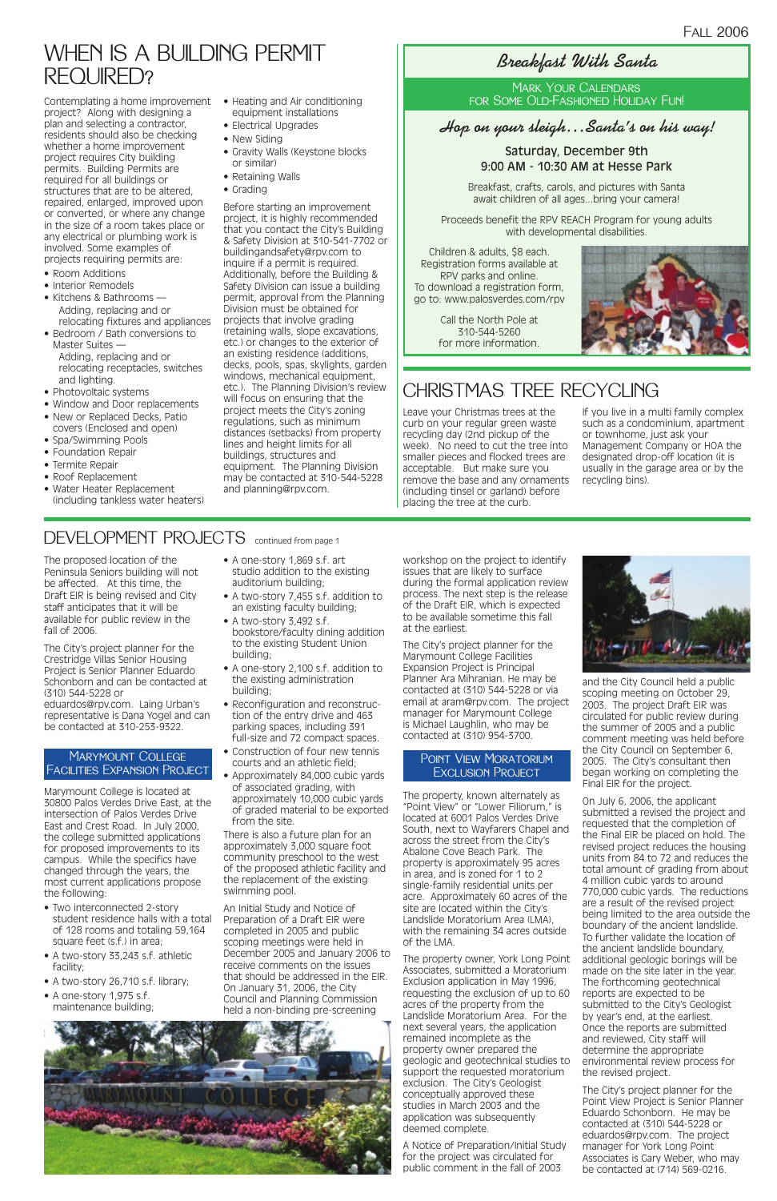The proposed location of the Peninsula Seniors building will not be affected. At this time, the Draft EIR is being revised and City staff anticipates that it will be available for public review in the fall of 2006.

The City's project planner for the Crestridge Villas Senior Housing Project is Senior Planner Eduardo Schonborn and can be contacted at (310) 544-5228 or

eduardos@rpv.com. Laing Urban's representative is Dana Yogel and can be contacted at 310-253-9322.

Marymount College is located at 30800 Palos Verdes Drive East, at the intersection of Palos Verdes Drive East and Crest Road. In July 2000, the college submitted applications for proposed improvements to its campus. While the specifics have changed through the years, the most current applications propose the following:

- Two interconnected 2-story student residence halls with a total of 128 rooms and totaling 59,164 square feet (s.f.) in area;
- A two-story 33,243 s.f. athletic facility;
- A two-story 26,710 s.f. library;
- A one-story 1,975 s.f. maintenance building;
- A one-story 1,869 s.f. art studio addition to the existing auditorium building;
- A two-story 7,455 s.f. addition to an existing faculty building;
- A two-story 3,492 s.f. bookstore/faculty dining addition to the existing Student Union building;
- A one-story 2,100 s.f. addition to the existing administration building;
- Reconfiguration and reconstruction of the entry drive and 463 parking spaces, including 391 full-size and 72 compact spaces.
- Construction of four new tennis courts and an athletic field;
- Approximately 84,000 cubic yards of associated grading, with approximately 10,000 cubic yards of graded material to be exported from the site.

There is also a future plan for an approximately 3,000 square foot community preschool to the west of the proposed athletic facility and the replacement of the existing

swimming pool.

An Initial Study and Notice of Preparation of a Draft EIR were completed in 2005 and public scoping meetings were held in December 2005 and January 2006 to receive comments on the issues that should be addressed in the EIR. On January 31, 2006, the City Council and Planning Commission held a non-binding pre-screening



workshop on the project to identify issues that are likely to surface during the formal application review process. The next step is the release of the Draft EIR, which is expected to be available sometime this fall at the earliest.

The City's project planner for the Marymount College Facilities Expansion Project is Principal Planner Ara Mihranian. He may be contacted at (310) 544-5228 or via email at aram@rpv.com. The project manager for Marymount College is Michael Laughlin, who may be contacted at (310) 954-3700.

The property, known alternately as "Point View" or "Lower Filiorum," is located at 6001 Palos Verdes Drive South, next to Wayfarers Chapel and across the street from the City's Abalone Cove Beach Park. The property is approximately 95 acres in area, and is zoned for 1 to 2 single-family residential units per acre. Approximately 60 acres of the site are located within the City's Landslide Moratorium Area (LMA), with the remaining 34 acres outside of the LMA.



- Room Additions
- Interior Remodels
- Kitchens & Bathrooms Adding, replacing and or relocating fixtures and appliances
- Bedroom / Bath conversions to Master Suites — Adding, replacing and or
- relocating receptacles, switches and lighting.
- Photovoltaic systems
- Window and Door replacements • New or Replaced Decks, Patio
- covers (Enclosed and open) • Spa/Swimming Pools
- Foundation Repair
- Termite Repair
- Roof Replacement
- Water Heater Replacement (including tankless water heaters)

The property owner, York Long Point Associates, submitted a Moratorium Exclusion application in May 1996, requesting the exclusion of up to 60 acres of the property from the Landslide Moratorium Area. For the next several years, the application remained incomplete as the property owner prepared the geologic and geotechnical studies to support the requested moratorium exclusion. The City's Geologist conceptually approved these studies in March 2003 and the application was subsequently deemed complete.

- Heating and Air conditioning equipment installations
- Electrical Upgrades
- New Siding
- Gravity Walls (Keystone blocks or similar)
- Retaining Walls
- Grading

A Notice of Preparation/Initial Study for the project was circulated for public comment in the fall of 2003

and the City Council held a public scoping meeting on October 29, 2003. The project Draft EIR was circulated for public review during the summer of 2005 and a public comment meeting was held before the City Council on September 6, 2005. The City's consultant then began working on completing the Final EIR for the project.

On July 6, 2006, the applicant submitted a revised the project and requested that the completion of the Final EIR be placed on hold. The revised project reduces the housing units from 84 to 72 and reduces the total amount of grading from about 4 million cubic yards to around 770,000 cubic yards. The reductions are a result of the revised project being limited to the area outside the boundary of the ancient landslide. To further validate the location of the ancient landslide boundary, additional geologic borings will be made on the site later in the year. The forthcoming geotechnical reports are expected to be submitted to the City's Geologist by year's end, at the earliest. Once the reports are submitted and reviewed, City staff will determine the appropriate environmental review process for the revised project. The City's project planner for the Point View Project is Senior Planner Eduardo Schonborn. He may be contacted at (310) 544-5228 or eduardos@rpv.com. The project manager for York Long Point Associates is Gary Weber, who may be contacted at (714) 569-0216.

### **Hop on your sleigh…Santa's on his way!**

Saturday, December 9th 9:00 AM - 10:30 AM at Hesse Park

Breakfast, crafts, carols, and pictures with Santa await children of all ages...bring your camera!

Proceeds benefit the RPV REACH Program for young adults with developmental disabilities.

Children & adults, \$8 each. Registration forms available at RPV parks and online. To download a registration form, go to: www.palosverdes.com/rpv

> Call the North Pole at 310-544-5260 for more information.



### **Breakfast With Santa**

### Mark Your Calendars for Some Old-Fashioned Holiday Fun!

### Marymount CollegeFacilities Expansion Project

### Point View Moratorium Exclusion Project

Contemplating a home improvement project? Along with designing a plan and selecting a contractor, residents should also be checking whether a home improvement project requires City building permits. Building Permits are required for all buildings or structures that are to be altered, repaired, enlarged, improved upon or converted, or where any change in the size of a room takes place or any electrical or plumbing work is involved. Some examples of projects requiring permits are:

Before starting an improvement project, it is highly recommended that you contact the City's Building & Safety Division at 310-541-7702 or buildingandsafety@rpv.com to inquire if a permit is required. Additionally, before the Building & Safety Division can issue a building permit, approval from the Planning Division must be obtained for projects that involve grading (retaining walls, slope excavations, etc.) or changes to the exterior of an existing residence (additions, decks, pools, spas, skylights, garden windows, mechanical equipment, etc.). The Planning Division's review will focus on ensuring that the project meets the City's zoning regulations, such as minimum distances (setbacks) from property lines and height limits for all buildings, structures and equipment. The Planning Division may be contacted at 310-544-5228 and planning@rpv.com.

# WHEN IS A BUILDING PERMIT REQUIRED?

# CHRISTMAS TREE RECYCLING

Leave your Christmas trees at the curb on your regular green waste recycling day (2nd pickup of the week). No need to cut the tree into smaller pieces and flocked trees are acceptable. But make sure you remove the base and any ornaments (including tinsel or garland) before placing the tree at the curb.

If you live in a multi family complex such as a condominium, apartment or townhome, just ask your Management Company or HOA the designated drop-off location (it is usually in the garage area or by the recycling bins).

### DEVELOPMENT PROJECTS continued from page 1